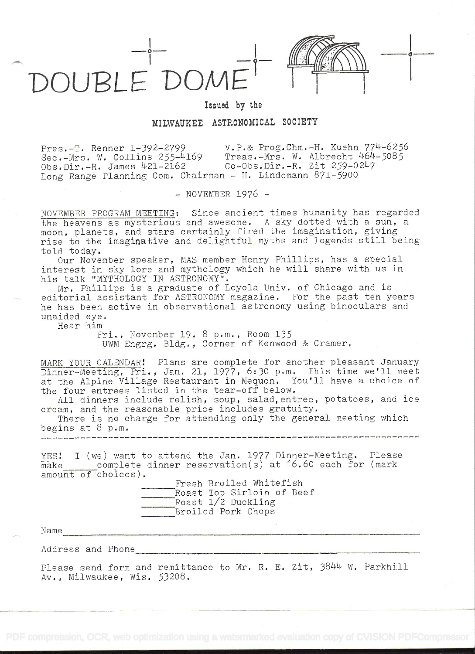



Issued by the

## MILWAUKEE ASTRONOMICAL SOCIETY

Pres.-T. Renner 1-392-2799 V.P.& Prog.Chm.-H. Kuehn 774-6256 Sec.-Mrs. W. Collins 255-4169 Treas.-Mrs. W. Albrecht 464-5085 Obs.Dir.-R. James 421-2162 Co-Obs.Dir.-R. Zit 259-0247 Long Range Planning Com. Chairman - H. Lindemann 871-5900

- NOVEMBER 1976 -

NOVEMBER PROGRAM MEETING: Since ancient times humanity has regarded the heavens as mysterious and awesome. A sky dotted with a sun, a moon, planets, and stars certainly fired the imagination, giving rise to the imaginative and delightful myths and legends still being told today.

Our November speaker, MAS member Henry Phillips, has a special interest in sky lore and mythology which he will share with us in his talk "MYTHOLOGY IN ASTRONOMY".

Mr. Phillips is a graduate of Loyola Univ. of Chicago and is editorial assistant for ASTRONOMY magazine. For the past ten years he has been active in observational astronomy using binoculars and unaided eye.

Hear him

Fri., November 19, 8 p.m., Room 135 UWM Engrg. Bldg. , Corner of Kenwood & Cramer.

MARK YOUR CALENDAR! Plans are complete for another pleasant January Dinner-Meeting, Fri., Jan. 21, 1977, 6:30 p.m. This time we'll meet at the Alpine Village Restaurant in Mequon. You'll have a choice of the four entrees listed in the tear-off below.

All dinners include relish, soup, salad,entree, potatoes, and ice cream, and the reasonable price includes gratuity.

There is no charge for attending only the general meeting which begins at  $8$  p.m. \_ \_ \_ \_ \_ \_ \_ \_ \_ \_ \_ \_ \_ \_ \_ \_ \_ \_

YES! I (we) want to attend the Jan. 1977 Dinner-Meeting. Please make complete dinner reservation(s) at 6.60 each for (mark amount of choices). to attend the Jan. 1977 Dinner-Meeting. Please<br>dinner reservation(s) at \$6.60 each for (mark<br>Fresh Broiled Whitefish<br>Roast Top Sirloin of Beef

Fresh Broiled Whitefish Roast Top Sirloin of Beef Roast 1/2 Duckling Broiled Pork Chops

<u>. Die programmenten verschieden von die verschieden der die verschieden von die verschieden von die verschieden verschieden von die verschieden von die verschieden von die verschieden v</u>

Name

Address and Phone

Please send form and remittance to Mr. R. E. Zit, 3844 W. Parkhill Av. , Milwaukee, Wis. 53208.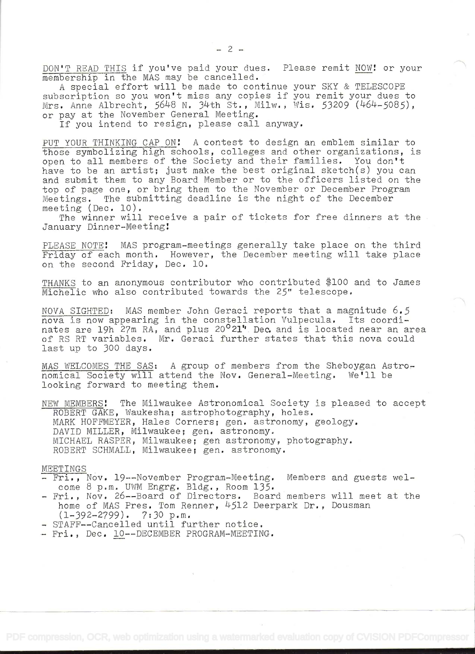DON'T READ THIS if you've paid your dues. Please remit NOW! or your membership in the MAS may be cancelled.

A special effort will be made to continue your SKY & TELESCOPE subscription so you won't miss any copies if you remit your dues to Mrs. Anne Albrecht, 5648 N. 34th St., Milw., Wis. 53209 (464-5085), or pay at the November General Meeting.

If you intend to resign, please call anyway.

PUT YOUR THINKING CAP ON! A contest to design an emblem similar to those symbolizing high schools, colleges and other organizations, is open to all members of the Society and their families. You don't have to be an artist; just make the best original sketch(s) you can and submit them to any Board Member or to the officers listed on the top of page one, or bring them to the November or December Program Meetings. The submitting deadline is the night of the December meeting (Dec. 10).

The winner will receive a pair of tickets for free dinners at the January Dinner-Meeting!

PLEASE NOTE! MAS program-meetings generally take place on the third Friday of each month. However, the December meeting will take place on the second Friday, Dec. lO.

THANKS to an anonymous contributor who contributed \$100 and to James Michelic who also contributed towards the 25" telescope.

NOVA SIGHTED: MAS member John Geraci reports that a magnitude  $6.5$ nova is now appearing in the constellation Vulpecula. Its coordinates are 19h 27m RA, and plus 20<sup>o</sup>21" Dec. and is located near an area of RS RT variables. Mr. Geraci further states that this nova could last up to 300 days.

MAS WELCOMES THE SAS: A group of members from the Sheboygan Astronomical Society will attend the Nov. General-Meeting. We'll be looking forward to meeting them.

NEW MEMBERS! The Milwaukee Astronomical Society is pleased to accept ROBERT GAKE, Waukesha; astrophotography, holes. MARK HOFFMEYER, Hales Corners; gen. astronomy, geology. DAVID MILLER, Milwaukee; gen. astronomy. MICHAEL RASPER, Milwaukee; gen astronomy, photography. ROBERT SCHMALL, Milwaukee; gen. astronomy.

## MEETINGS

- Fri., Nov. 19--November Program-Meeting. Members and guests welcome 8 p.m. UWM Engrg. Bldg., Room 135.
- Fri., Nov. 26--Board of Directors. Board members will meet at the home of MAS Pres. Tom Renner, 4512 Deerpark Dr., Dousman  $(1-392-2799)$ . 7:30 p.m.
- STAFF--Cancelled until further notice.

- Fri., Dec. 10 -- DECEMBER PROGRAM-MEETING.